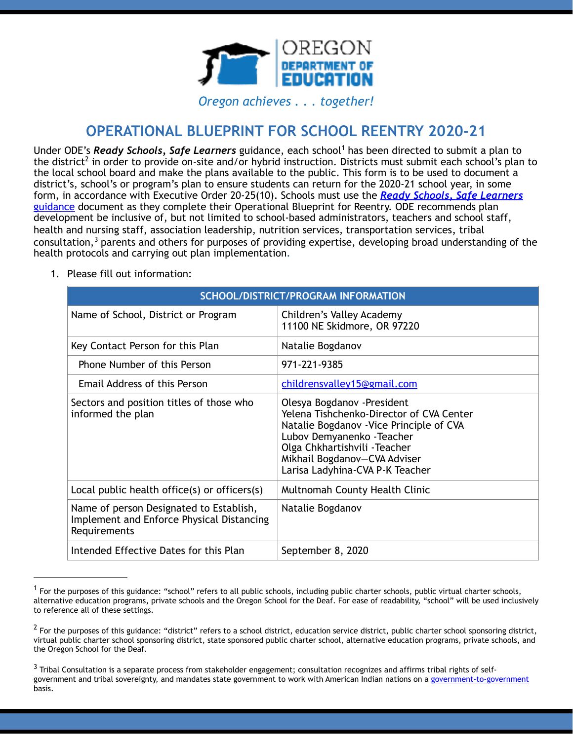

<span id="page-0-3"></span>*Oregon achieves . . . together!*

# <span id="page-0-4"></span>**OPERATIONAL BLUEPRINT FOR SCHOOL REENTRY 2020-21**

UnderODE's *Ready Schools, Safe Learners* guidance, each school<sup>[1](#page-0-0)</sup> has been directed to submit a plan to thedistrict<sup>[2](#page-0-1)</sup> in order to provide on-site and/or hybrid instruction. Districts must submit each school's plan to the local school board and make the plans available to the public. This form is to be used to document a district's, school's or program's plan to ensure students can return for the 2020-21 school year, in some form, in accordance with Executive Order 20-25(10). Schools must use the *Ready Schools, Safe Learners* guidance document as they complete their Operational Blueprint for Reentry. ODE recommends plan development be inclusive of, but not limited to school-based administrators, teachers and school staff, health and nursing staff, association leadership, nutrition services, transportation services, tribal consultation, $3$  parents and others for purposes of providing expertise, developing broad understanding of the health protocols and carrying out plan implementation.

| SCHOOL/DISTRICT/PROGRAM INFORMATION                                                                  |                                                                                                                                                                                                                                                       |  |
|------------------------------------------------------------------------------------------------------|-------------------------------------------------------------------------------------------------------------------------------------------------------------------------------------------------------------------------------------------------------|--|
| Name of School, District or Program                                                                  | Children's Valley Academy<br>11100 NE Skidmore, OR 97220                                                                                                                                                                                              |  |
| Key Contact Person for this Plan                                                                     | Natalie Bogdanov                                                                                                                                                                                                                                      |  |
| Phone Number of this Person                                                                          | 971-221-9385                                                                                                                                                                                                                                          |  |
| Email Address of this Person                                                                         | childrensvalley15@gmail.com                                                                                                                                                                                                                           |  |
| Sectors and position titles of those who<br>informed the plan                                        | Olesya Bogdanov - President<br>Yelena Tishchenko-Director of CVA Center<br>Natalie Bogdanov - Vice Principle of CVA<br>Lubov Demyanenko - Teacher<br>Olga Chkhartishvili - Teacher<br>Mikhail Bogdanov-CVA Adviser<br>Larisa Ladyhina-CVA P-K Teacher |  |
| Local public health office(s) or officers(s)                                                         | Multnomah County Health Clinic                                                                                                                                                                                                                        |  |
| Name of person Designated to Establish,<br>Implement and Enforce Physical Distancing<br>Requirements | Natalie Bogdanov                                                                                                                                                                                                                                      |  |
| Intended Effective Dates for this Plan                                                               | September 8, 2020                                                                                                                                                                                                                                     |  |

<span id="page-0-5"></span>1. Please fill out information:

<span id="page-0-0"></span> $^1$  $^1$ For the purposes of this guidance: "school" refers to all public schools, including public charter schools, public virtual charter schools, alternative education programs, private schools and the Oregon School for the Deaf. For ease of readability, "school" will be used inclusively to reference all of these settings.

<span id="page-0-1"></span> $<sup>2</sup>$  $<sup>2</sup>$  $<sup>2</sup>$ For the purposes of this guidance: "district" refers to a school district, education service district, public charter school sponsoring district,</sup> virtual public charter school sponsoring district, state sponsored public charter school, alternative education programs, private schools, and the Oregon School for the Deaf.

<span id="page-0-2"></span> $3$  Tribal Consultation is a separate process from stakeholder engagement; consultation recognizes and affirms tribal rights of selfgovernment and tribal sovereignty, and mandates state government to work with American Indian nations on a government-to-government basis.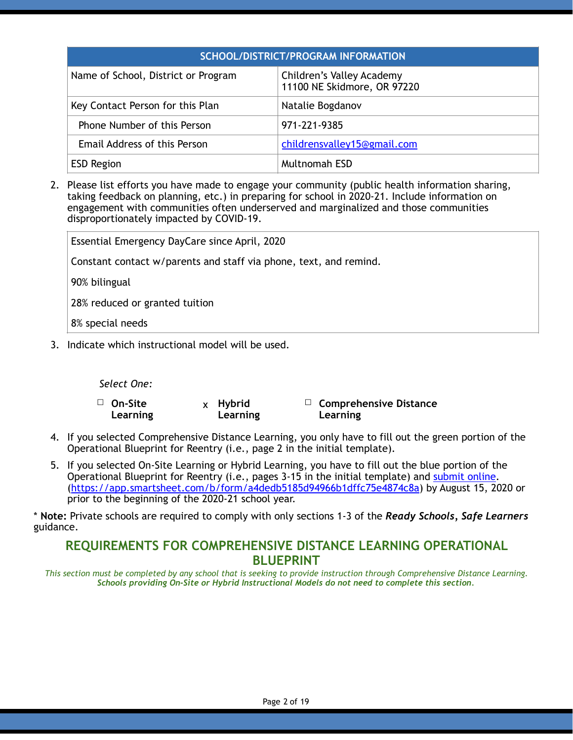| SCHOOL/DISTRICT/PROGRAM INFORMATION |                                                          |  |
|-------------------------------------|----------------------------------------------------------|--|
| Name of School, District or Program | Children's Valley Academy<br>11100 NE Skidmore, OR 97220 |  |
| Key Contact Person for this Plan    | Natalie Bogdanov                                         |  |
| Phone Number of this Person         | 971-221-9385                                             |  |
| Email Address of this Person        | childrensvalley15@gmail.com                              |  |
| <b>ESD Region</b>                   | <b>Multnomah ESD</b>                                     |  |

2. Please list efforts you have made to engage your community (public health information sharing, taking feedback on planning, etc.) in preparing for school in 2020-21. Include information on engagement with communities often underserved and marginalized and those communities disproportionately impacted by COVID-19.

Essential Emergency DayCare since April, 2020

Constant contact w/parents and staff via phone, text, and remind.

90% bilingual

28% reduced or granted tuition

8% special needs

3. Indicate which instructional model will be used.

*Select One:*

☐ **On-Site Learning** x **Hybrid Learning** ☐ **Comprehensive Distance Learning**

- 4. If you selected Comprehensive Distance Learning, you only have to fill out the green portion of the Operational Blueprint for Reentry (i.e., page 2 in the initial template).
- 5. If you selected On-Site Learning or Hybrid Learning, you have to fill out the blue portion of the Operational Blueprint for Reentry (i.e., pages 3-15 in the initial template) and submit online. (https://app.smartsheet.com/b/form/a4dedb5185d94966b1dffc75e4874c8a) by August 15, 2020 or prior to the beginning of the 2020-21 school year.

\* **Note:** Private schools are required to comply with only sections 1-3 of the *Ready Schools, Safe Learners* guidance.

## **REQUIREMENTS FOR COMPREHENSIVE DISTANCE LEARNING OPERATIONAL BLUEPRINT**

*This section must be completed by any school that is seeking to provide instruction through Comprehensive Distance Learning. Schools providing On-Site or Hybrid Instructional Models do not need to complete this section.*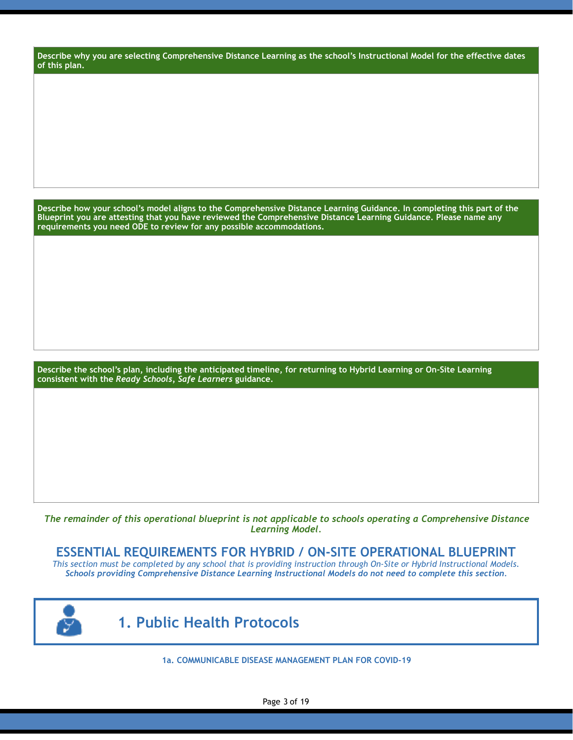**Describe why you are selecting Comprehensive Distance Learning as the school's Instructional Model for the effective dates of this plan.**

**Describe how your school's model aligns to the Comprehensive Distance Learning Guidance. In completing this part of the Blueprint you are attesting that you have reviewed the Comprehensive Distance Learning Guidance. Please name any requirements you need ODE to review for any possible accommodations.** 

**Describe the school's plan, including the anticipated timeline, for returning to Hybrid Learning or On-Site Learning consistent with the** *Ready Schools, Safe Learners* **guidance.**

*The remainder of this operational blueprint is not applicable to schools operating a Comprehensive Distance Learning Model.* 

#### **ESSENTIAL REQUIREMENTS FOR HYBRID / ON-SITE OPERATIONAL BLUEPRINT**

*This section must be completed by any school that is providing instruction through On-Site or Hybrid Instructional Models. Schools providing Comprehensive Distance Learning Instructional Models do not need to complete this section.*



 **1. Public Health Protocols**

**1a. COMMUNICABLE DISEASE MANAGEMENT PLAN FOR COVID-19**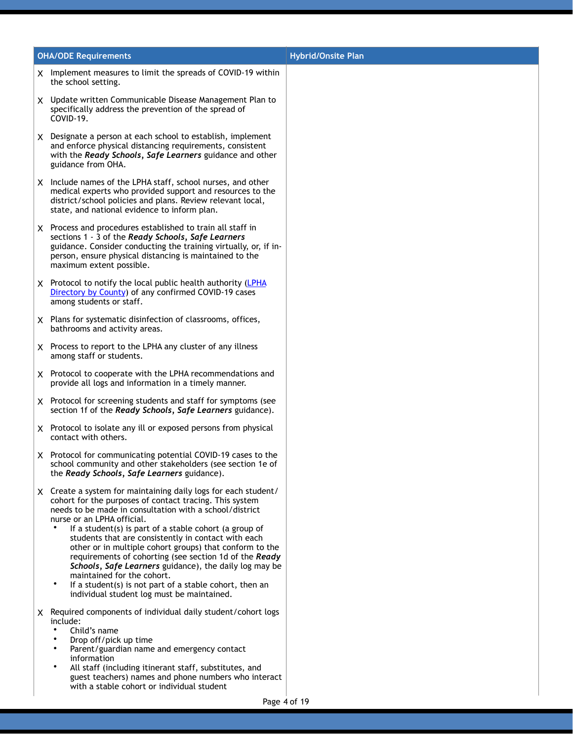| <b>OHA/ODE Requirements</b>                                                                                                                                                                                                                                                                                                                                                                                                                                                                                                                                                                                                                                            | <b>Hybrid/Onsite Plan</b> |
|------------------------------------------------------------------------------------------------------------------------------------------------------------------------------------------------------------------------------------------------------------------------------------------------------------------------------------------------------------------------------------------------------------------------------------------------------------------------------------------------------------------------------------------------------------------------------------------------------------------------------------------------------------------------|---------------------------|
| X Implement measures to limit the spreads of COVID-19 within<br>the school setting.                                                                                                                                                                                                                                                                                                                                                                                                                                                                                                                                                                                    |                           |
| X Update written Communicable Disease Management Plan to<br>specifically address the prevention of the spread of<br>COVID-19.                                                                                                                                                                                                                                                                                                                                                                                                                                                                                                                                          |                           |
| X Designate a person at each school to establish, implement<br>and enforce physical distancing requirements, consistent<br>with the Ready Schools, Safe Learners guidance and other<br>guidance from OHA.                                                                                                                                                                                                                                                                                                                                                                                                                                                              |                           |
| X Include names of the LPHA staff, school nurses, and other<br>medical experts who provided support and resources to the<br>district/school policies and plans. Review relevant local,<br>state, and national evidence to inform plan.                                                                                                                                                                                                                                                                                                                                                                                                                                 |                           |
| X Process and procedures established to train all staff in<br>sections 1 - 3 of the Ready Schools, Safe Learners<br>guidance. Consider conducting the training virtually, or, if in-<br>person, ensure physical distancing is maintained to the<br>maximum extent possible.                                                                                                                                                                                                                                                                                                                                                                                            |                           |
| X Protocol to notify the local public health authority (LPHA<br>Directory by County) of any confirmed COVID-19 cases<br>among students or staff.                                                                                                                                                                                                                                                                                                                                                                                                                                                                                                                       |                           |
| X Plans for systematic disinfection of classrooms, offices,<br>bathrooms and activity areas.                                                                                                                                                                                                                                                                                                                                                                                                                                                                                                                                                                           |                           |
| X Process to report to the LPHA any cluster of any illness<br>among staff or students.                                                                                                                                                                                                                                                                                                                                                                                                                                                                                                                                                                                 |                           |
| X Protocol to cooperate with the LPHA recommendations and<br>provide all logs and information in a timely manner.                                                                                                                                                                                                                                                                                                                                                                                                                                                                                                                                                      |                           |
| X Protocol for screening students and staff for symptoms (see<br>section 1f of the Ready Schools, Safe Learners guidance).                                                                                                                                                                                                                                                                                                                                                                                                                                                                                                                                             |                           |
| X Protocol to isolate any ill or exposed persons from physical<br>contact with others.                                                                                                                                                                                                                                                                                                                                                                                                                                                                                                                                                                                 |                           |
| X Protocol for communicating potential COVID-19 cases to the<br>school community and other stakeholders (see section 1e of<br>the Ready Schools, Safe Learners guidance).                                                                                                                                                                                                                                                                                                                                                                                                                                                                                              |                           |
| X Create a system for maintaining daily logs for each student/<br>cohort for the purposes of contact tracing. This system<br>needs to be made in consultation with a school/district<br>nurse or an LPHA official.<br>If a student(s) is part of a stable cohort (a group of<br>students that are consistently in contact with each<br>other or in multiple cohort groups) that conform to the<br>requirements of cohorting (see section 1d of the Ready<br>Schools, Safe Learners guidance), the daily log may be<br>maintained for the cohort.<br>$\bullet$<br>If a student(s) is not part of a stable cohort, then an<br>individual student log must be maintained. |                           |
| X Required components of individual daily student/cohort logs<br>include:<br>Child's name<br>٠<br>Drop off/pick up time<br>Parent/guardian name and emergency contact<br>information<br>٠<br>All staff (including itinerant staff, substitutes, and<br>guest teachers) names and phone numbers who interact<br>with a stable cohort or individual student                                                                                                                                                                                                                                                                                                              |                           |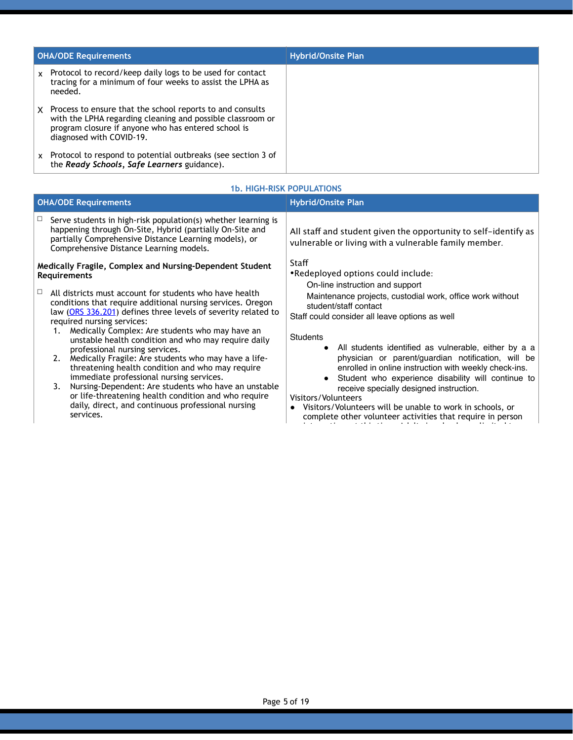| <b>OHA/ODE Requirements</b> |                                                                                                                                                                                                            | <b>Hybrid/Onsite Plan</b> |
|-----------------------------|------------------------------------------------------------------------------------------------------------------------------------------------------------------------------------------------------------|---------------------------|
| $\mathbf{x}$                | Protocol to record/keep daily logs to be used for contact<br>tracing for a minimum of four weeks to assist the LPHA as<br>needed.                                                                          |                           |
| X.                          | Process to ensure that the school reports to and consults<br>with the LPHA regarding cleaning and possible classroom or<br>program closure if anyone who has entered school is<br>diagnosed with COVID-19. |                           |
| $\mathsf{x}$                | Protocol to respond to potential outbreaks (see section 3 of<br>the Ready Schools, Safe Learners guidance).                                                                                                |                           |

#### **1b. HIGH-RISK POPULATIONS**

| <b>OHA/ODE Requirements</b>                                                                                                                                                                                                                                                                                                                                                                                                                                                                                                | <b>Hybrid/Onsite Plan</b>                                                                                                                                                                                                                                                                                                                                 |  |
|----------------------------------------------------------------------------------------------------------------------------------------------------------------------------------------------------------------------------------------------------------------------------------------------------------------------------------------------------------------------------------------------------------------------------------------------------------------------------------------------------------------------------|-----------------------------------------------------------------------------------------------------------------------------------------------------------------------------------------------------------------------------------------------------------------------------------------------------------------------------------------------------------|--|
| Serve students in high-risk population(s) whether learning is<br>$\Box$<br>happening through On-Site, Hybrid (partially On-Site and<br>partially Comprehensive Distance Learning models), or<br>Comprehensive Distance Learning models.                                                                                                                                                                                                                                                                                    | All staff and student given the opportunity to self-identify as<br>vulnerable or living with a vulnerable family member.                                                                                                                                                                                                                                  |  |
| Medically Fragile, Complex and Nursing-Dependent Student<br><b>Requirements</b><br>All districts must account for students who have health<br>ப<br>conditions that require additional nursing services. Oregon<br>law (ORS 336.201) defines three levels of severity related to<br>required nursing services:<br>Medically Complex: Are students who may have an<br>1.<br>unstable health condition and who may require daily<br>professional nursing services.<br>2. Medically Fragile: Are students who may have a life- | Staff<br>.Redeployed options could include:<br>On-line instruction and support<br>Maintenance projects, custodial work, office work without<br>student/staff contact<br>Staff could consider all leave options as well<br><b>Students</b><br>• All students identified as vulnerable, either by a a<br>physician or parent/guardian notification, will be |  |
| threatening health condition and who may require<br>immediate professional nursing services.<br>3. Nursing-Dependent: Are students who have an unstable<br>or life-threatening health condition and who require<br>daily, direct, and continuous professional nursing<br>services.                                                                                                                                                                                                                                         | enrolled in online instruction with weekly check-ins.<br>Student who experience disability will continue to<br>receive specially designed instruction.<br>Visitors/Volunteers<br>Visitors/Volunteers will be unable to work in schools, or<br>$\bullet$<br>complete other volunteer activities that require in person                                     |  |

interaction, at this time. Adults in schools are limited to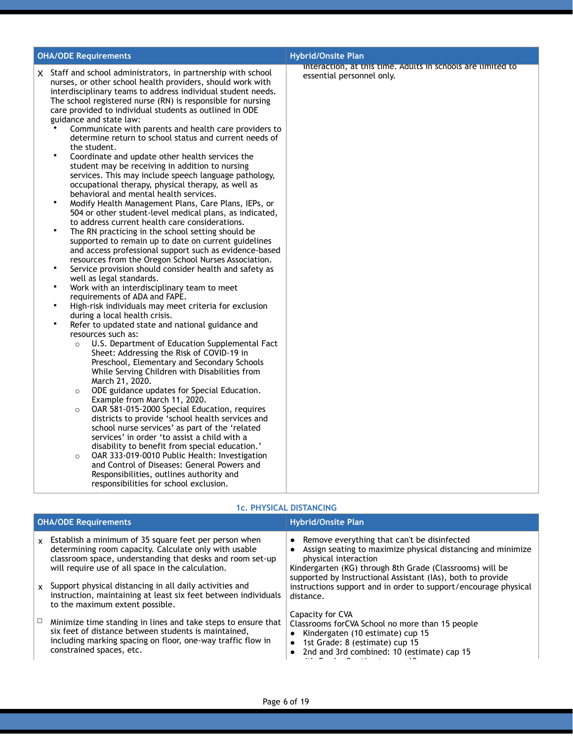| <b>OHA/ODE Requirements</b>                                                                                                                                                                                                                                                                                                                                                                                                                                                                                                                                                                                                                                                                                                                                                                                                                                                                                                                                                                                                                                                                                                                                                                                                                                                                                                                                                                                                                                                                                                                                                                                                                                                                                                                                                                                                                                                                                                                                                                                                                                                                                                                                                                                                                                                                                                                                       | <b>Hybrid/Onsite Plan</b>                                                                |
|-------------------------------------------------------------------------------------------------------------------------------------------------------------------------------------------------------------------------------------------------------------------------------------------------------------------------------------------------------------------------------------------------------------------------------------------------------------------------------------------------------------------------------------------------------------------------------------------------------------------------------------------------------------------------------------------------------------------------------------------------------------------------------------------------------------------------------------------------------------------------------------------------------------------------------------------------------------------------------------------------------------------------------------------------------------------------------------------------------------------------------------------------------------------------------------------------------------------------------------------------------------------------------------------------------------------------------------------------------------------------------------------------------------------------------------------------------------------------------------------------------------------------------------------------------------------------------------------------------------------------------------------------------------------------------------------------------------------------------------------------------------------------------------------------------------------------------------------------------------------------------------------------------------------------------------------------------------------------------------------------------------------------------------------------------------------------------------------------------------------------------------------------------------------------------------------------------------------------------------------------------------------------------------------------------------------------------------------------------------------|------------------------------------------------------------------------------------------|
| X Staff and school administrators, in partnership with school<br>nurses, or other school health providers, should work with<br>interdisciplinary teams to address individual student needs.<br>The school registered nurse (RN) is responsible for nursing<br>care provided to individual students as outlined in ODE<br>guidance and state law:<br>Communicate with parents and health care providers to<br>determine return to school status and current needs of<br>the student.<br>Coordinate and update other health services the<br>student may be receiving in addition to nursing<br>services. This may include speech language pathology,<br>occupational therapy, physical therapy, as well as<br>behavioral and mental health services.<br>$\bullet$<br>Modify Health Management Plans, Care Plans, IEPs, or<br>504 or other student-level medical plans, as indicated,<br>to address current health care considerations.<br>$\bullet$<br>The RN practicing in the school setting should be<br>supported to remain up to date on current guidelines<br>and access professional support such as evidence-based<br>resources from the Oregon School Nurses Association.<br>$\bullet$<br>Service provision should consider health and safety as<br>well as legal standards.<br>$\bullet$<br>Work with an interdisciplinary team to meet<br>requirements of ADA and FAPE.<br>٠<br>High-risk individuals may meet criteria for exclusion<br>during a local health crisis.<br>$\bullet$<br>Refer to updated state and national guidance and<br>resources such as:<br>U.S. Department of Education Supplemental Fact<br>$\circ$<br>Sheet: Addressing the Risk of COVID-19 in<br>Preschool, Elementary and Secondary Schools<br>While Serving Children with Disabilities from<br>March 21, 2020.<br>ODE guidance updates for Special Education.<br>$\circ$<br>Example from March 11, 2020.<br>OAR 581-015-2000 Special Education, requires<br>$\circ$<br>districts to provide 'school health services and<br>school nurse services' as part of the 'related<br>services' in order 'to assist a child with a<br>disability to benefit from special education.'<br>OAR 333-019-0010 Public Health: Investigation<br>$\circ$<br>and Control of Diseases: General Powers and<br>Responsibilities, outlines authority and<br>responsibilities for school exclusion. | interaction, at this time. Adults in schools are limited to<br>essential personnel only. |

#### **1c. PHYSICAL DISTANCING**

| <b>OHA/ODE Requirements</b>  |                                                                                                                                                                                                                                                                                             | <b>Hybrid/Onsite Plan</b>                                                                                                                                                                                                                                                                                                          |  |
|------------------------------|---------------------------------------------------------------------------------------------------------------------------------------------------------------------------------------------------------------------------------------------------------------------------------------------|------------------------------------------------------------------------------------------------------------------------------------------------------------------------------------------------------------------------------------------------------------------------------------------------------------------------------------|--|
| $\mathbf{x}$<br>$\mathbf{x}$ | Establish a minimum of 35 square feet per person when<br>determining room capacity. Calculate only with usable<br>classroom space, understanding that desks and room set-up<br>will require use of all space in the calculation.<br>Support physical distancing in all daily activities and | • Remove everything that can't be disinfected<br>Assign seating to maximize physical distancing and minimize<br>physical interaction<br>Kindergarten (KG) through 8th Grade (Classrooms) will be<br>supported by Instructional Assistant (IAs), both to provide<br>instructions support and in order to support/encourage physical |  |
|                              | instruction, maintaining at least six feet between individuals<br>to the maximum extent possible.                                                                                                                                                                                           | distance.                                                                                                                                                                                                                                                                                                                          |  |
|                              | Minimize time standing in lines and take steps to ensure that<br>six feet of distance between students is maintained,<br>including marking spacing on floor, one-way traffic flow in<br>constrained spaces, etc.                                                                            | Capacity for CVA<br>Classrooms for CVA School no more than 15 people<br>Kindergaten (10 estimate) cup 15<br>1st Grade: 8 (estimate) cup 15<br>$\bullet$<br>2nd and 3rd combined: 10 (estimate) cap 15                                                                                                                              |  |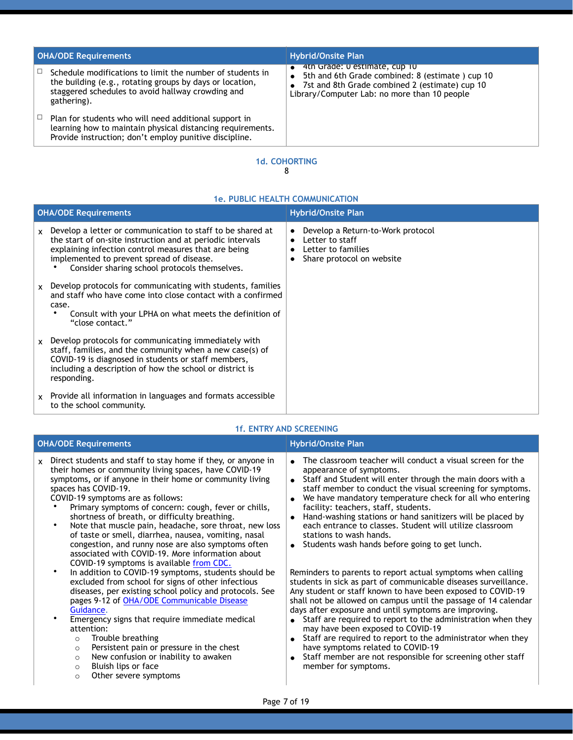| <b>OHA/ODE Requirements</b> |                                                                                                                                                                                           | <b>Hybrid/Onsite Plan</b>                                                                                                                                                          |  |
|-----------------------------|-------------------------------------------------------------------------------------------------------------------------------------------------------------------------------------------|------------------------------------------------------------------------------------------------------------------------------------------------------------------------------------|--|
|                             | Schedule modifications to limit the number of students in<br>the building (e.g., rotating groups by days or location,<br>staggered schedules to avoid hallway crowding and<br>gathering). | 4th Grade: U estimate, cup 10<br>5th and 6th Grade combined: 8 (estimate) cup 10<br>7st and 8th Grade combined 2 (estimate) cup 10<br>Library/Computer Lab: no more than 10 people |  |
|                             | Plan for students who will need additional support in<br>learning how to maintain physical distancing requirements.<br>Provide instruction; don't employ punitive discipline.             |                                                                                                                                                                                    |  |

#### **1d. COHORTING** 8

#### **1e. PUBLIC HEALTH COMMUNICATION**

| <b>OHA/ODE Requirements</b> |                                                                                                                                                                                                                                                                                | <b>Hybrid/Onsite Plan</b> |                                                                                                         |
|-----------------------------|--------------------------------------------------------------------------------------------------------------------------------------------------------------------------------------------------------------------------------------------------------------------------------|---------------------------|---------------------------------------------------------------------------------------------------------|
| <b>X</b>                    | Develop a letter or communication to staff to be shared at<br>the start of on-site instruction and at periodic intervals<br>explaining infection control measures that are being<br>implemented to prevent spread of disease.<br>Consider sharing school protocols themselves. | $\bullet$                 | Develop a Return-to-Work protocol<br>Letter to staff<br>Letter to families<br>Share protocol on website |
| $\mathsf{x}$                | Develop protocols for communicating with students, families<br>and staff who have come into close contact with a confirmed<br>case.<br>Consult with your LPHA on what meets the definition of<br>"close contact."                                                              |                           |                                                                                                         |
| <b>x</b>                    | Develop protocols for communicating immediately with<br>staff, families, and the community when a new case(s) of<br>COVID-19 is diagnosed in students or staff members,<br>including a description of how the school or district is<br>responding.                             |                           |                                                                                                         |
| <b>X</b>                    | Provide all information in languages and formats accessible<br>to the school community.                                                                                                                                                                                        |                           |                                                                                                         |

#### **1f. ENTRY AND SCREENING**

| <b>OHA/ODE Requirements</b>                                                                                                                                                                                                                                                                                                                                                                                                                                                                                                                                                                                                                                                                                                                                                                                                                                                                                                                                                                                                                                                                                                                                                           | <b>Hybrid/Onsite Plan</b>                                                                                                                                                                                                                                                                                                                                                                                                                                                                                                                                                                                                                                                                                                                                                                                                                                                                                                                                                                                                                                                                                                                                      |  |
|---------------------------------------------------------------------------------------------------------------------------------------------------------------------------------------------------------------------------------------------------------------------------------------------------------------------------------------------------------------------------------------------------------------------------------------------------------------------------------------------------------------------------------------------------------------------------------------------------------------------------------------------------------------------------------------------------------------------------------------------------------------------------------------------------------------------------------------------------------------------------------------------------------------------------------------------------------------------------------------------------------------------------------------------------------------------------------------------------------------------------------------------------------------------------------------|----------------------------------------------------------------------------------------------------------------------------------------------------------------------------------------------------------------------------------------------------------------------------------------------------------------------------------------------------------------------------------------------------------------------------------------------------------------------------------------------------------------------------------------------------------------------------------------------------------------------------------------------------------------------------------------------------------------------------------------------------------------------------------------------------------------------------------------------------------------------------------------------------------------------------------------------------------------------------------------------------------------------------------------------------------------------------------------------------------------------------------------------------------------|--|
| Direct students and staff to stay home if they, or anyone in<br>$\mathsf{x}$<br>their homes or community living spaces, have COVID-19<br>symptoms, or if anyone in their home or community living<br>spaces has COVID-19.<br>COVID-19 symptoms are as follows:<br>Primary symptoms of concern: cough, fever or chills,<br>shortness of breath, or difficulty breathing.<br>Note that muscle pain, headache, sore throat, new loss<br>٠<br>of taste or smell, diarrhea, nausea, vomiting, nasal<br>congestion, and runny nose are also symptoms often<br>associated with COVID-19. More information about<br>COVID-19 symptoms is available from CDC.<br>In addition to COVID-19 symptoms, students should be<br>$\bullet$<br>excluded from school for signs of other infectious<br>diseases, per existing school policy and protocols. See<br>pages 9-12 of OHA/ODE Communicable Disease<br>Guidance.<br>Emergency signs that require immediate medical<br>attention:<br>Trouble breathing<br>$\circ$<br>Persistent pain or pressure in the chest<br>$\circ$<br>New confusion or inability to awaken<br>$\circ$<br>Bluish lips or face<br>$\circ$<br>Other severe symptoms<br>$\circ$ | The classroom teacher will conduct a visual screen for the<br>appearance of symptoms.<br>• Staff and Student will enter through the main doors with a<br>staff member to conduct the visual screening for symptoms.<br>We have mandatory temperature check for all who entering<br>facility: teachers, staff, students.<br>Hand-washing stations or hand sanitizers will be placed by<br>each entrance to classes. Student will utilize classroom<br>stations to wash hands.<br>• Students wash hands before going to get lunch.<br>Reminders to parents to report actual symptoms when calling<br>students in sick as part of communicable diseases surveillance.<br>Any student or staff known to have been exposed to COVID-19<br>shall not be allowed on campus until the passage of 14 calendar<br>days after exposure and until symptoms are improving.<br>• Staff are required to report to the administration when they<br>may have been exposed to COVID-19<br>Staff are required to report to the administrator when they<br>have symptoms related to COVID-19<br>Staff member are not responsible for screening other staff<br>member for symptoms. |  |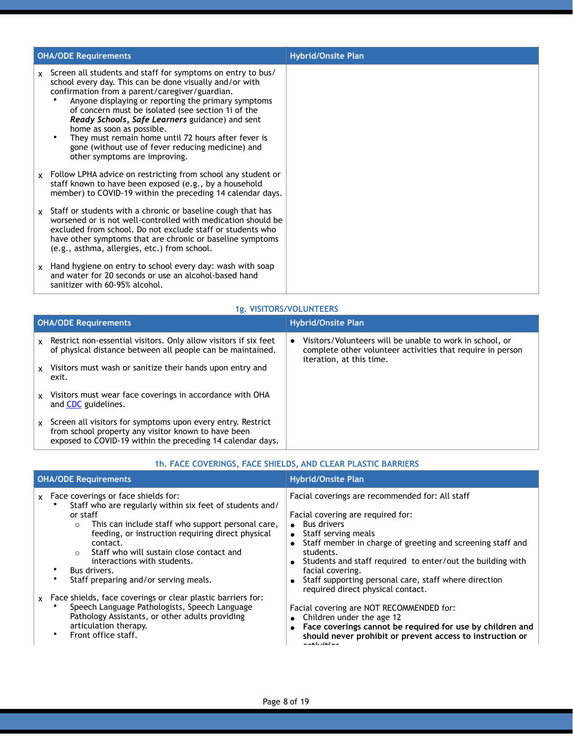|              | <b>OHA/ODE Requirements</b>                                                                                                                                                                                                                                                                                                                                                                                                                                                                                        | <b>Hybrid/Onsite Plan</b> |
|--------------|--------------------------------------------------------------------------------------------------------------------------------------------------------------------------------------------------------------------------------------------------------------------------------------------------------------------------------------------------------------------------------------------------------------------------------------------------------------------------------------------------------------------|---------------------------|
| <b>X</b>     | Screen all students and staff for symptoms on entry to bus/<br>school every day. This can be done visually and/or with<br>confirmation from a parent/caregiver/guardian.<br>Anyone displaying or reporting the primary symptoms<br>of concern must be isolated (see section 1i of the<br>Ready Schools, Safe Learners guidance) and sent<br>home as soon as possible.<br>They must remain home until 72 hours after fever is<br>gone (without use of fever reducing medicine) and<br>other symptoms are improving. |                           |
| $\mathsf{x}$ | Follow LPHA advice on restricting from school any student or<br>staff known to have been exposed (e.g., by a household<br>member) to COVID-19 within the preceding 14 calendar days.                                                                                                                                                                                                                                                                                                                               |                           |
| X            | Staff or students with a chronic or baseline cough that has<br>worsened or is not well-controlled with medication should be<br>excluded from school. Do not exclude staff or students who<br>have other symptoms that are chronic or baseline symptoms<br>(e.g., asthma, allergies, etc.) from school.                                                                                                                                                                                                             |                           |
| <b>X</b>     | Hand hygiene on entry to school every day: wash with soap<br>and water for 20 seconds or use an alcohol-based hand<br>sanitizer with 60-95% alcohol.                                                                                                                                                                                                                                                                                                                                                               |                           |

#### **1g. VISITORS/VOLUNTEERS**

| <b>OHA/ODE Requirements</b> |                                                                                                                                                                                  | <b>Hybrid/Onsite Plan</b> |                                                                                                                                                    |
|-----------------------------|----------------------------------------------------------------------------------------------------------------------------------------------------------------------------------|---------------------------|----------------------------------------------------------------------------------------------------------------------------------------------------|
| $\mathbf{x}$                | Restrict non-essential visitors. Only allow visitors if six feet<br>of physical distance between all people can be maintained.                                                   |                           | Visitors/Volunteers will be unable to work in school, or<br>complete other volunteer activities that require in person<br>iteration, at this time. |
|                             | x Visitors must wash or sanitize their hands upon entry and<br>exit.                                                                                                             |                           |                                                                                                                                                    |
| <b>x</b>                    | Visitors must wear face coverings in accordance with OHA<br>and <b>CDC</b> guidelines.                                                                                           |                           |                                                                                                                                                    |
| $\mathbf{x}$                | Screen all visitors for symptoms upon every entry. Restrict<br>from school property any visitor known to have been<br>exposed to COVID-19 within the preceding 14 calendar days. |                           |                                                                                                                                                    |

#### **OHA/ODE Requirements Hybrid/Onsite Plan** x Face coverings or face shields for: • Staff who are regularly within six feet of students and/ or staff o This can include staff who support personal care, feeding, or instruction requiring direct physical contact. o Staff who will sustain close contact and interactions with students. Bus drivers. Staff preparing and/or serving meals. Facial coverings are recommended for: All staff Facial covering are required for: • Bus drivers • Staff serving meals ! Staff member in charge of greeting and screening staff and students. • Students and staff required to enter/out the building with facial covering. • Staff supporting personal care, staff where direction required direct physical contact. Facial covering are NOT RECOMMENDED for:  $\bullet$  Children under the age 12 ! **Face coverings cannot be required for use by children and should never prohibit or prevent access to instruction or activities.**  x Face shields, face coverings or clear plastic barriers for: • Speech Language Pathologists, Speech Language Pathology Assistants, or other adults providing articulation therapy. Front office staff.

#### **1h. FACE COVERINGS, FACE SHIELDS, AND CLEAR PLASTIC BARRIERS**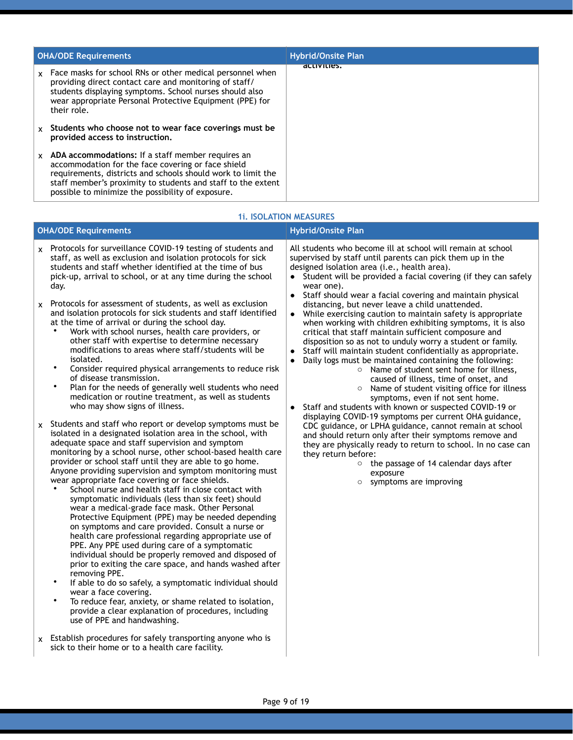| <b>OHA/ODE Requirements</b> |                                                                                                                                                                                                                                                                                              | <b>Hybrid/Onsite Plan</b> |
|-----------------------------|----------------------------------------------------------------------------------------------------------------------------------------------------------------------------------------------------------------------------------------------------------------------------------------------|---------------------------|
| $\mathsf{x}$                | Face masks for school RNs or other medical personnel when<br>providing direct contact care and monitoring of staff/<br>students displaying symptoms. School nurses should also<br>wear appropriate Personal Protective Equipment (PPE) for<br>their role.                                    | activities.               |
|                             | Students who choose not to wear face coverings must be<br>provided access to instruction.                                                                                                                                                                                                    |                           |
| $\mathsf{x}$                | ADA accommodations: If a staff member requires an<br>accommodation for the face covering or face shield<br>requirements, districts and schools should work to limit the<br>staff member's proximity to students and staff to the extent<br>possible to minimize the possibility of exposure. |                           |

| <b>OHA/ODE Requirements</b>                                                                                                                                                                                                                                                                                                                                                                                                                                                                                                                                                                                                                                                                                                                                                                                                                                                                                                                                                                                                                                                                                                                                                                                                                                                                                                                                                                                                                                                                                                                                                                                                                                                                                                                                                                                                                                                                                                                                                                                                                                                                                                                                                                                | <b>Hybrid/Onsite Plan</b>                                                                                                                                                                                                                                                                                                                                                                                                                                                                                                                                                                                                                                                                                                                                                                                                                                                                                                                                                                                                                                                                                                                                                                                                                                                                                                                                                                   |  |
|------------------------------------------------------------------------------------------------------------------------------------------------------------------------------------------------------------------------------------------------------------------------------------------------------------------------------------------------------------------------------------------------------------------------------------------------------------------------------------------------------------------------------------------------------------------------------------------------------------------------------------------------------------------------------------------------------------------------------------------------------------------------------------------------------------------------------------------------------------------------------------------------------------------------------------------------------------------------------------------------------------------------------------------------------------------------------------------------------------------------------------------------------------------------------------------------------------------------------------------------------------------------------------------------------------------------------------------------------------------------------------------------------------------------------------------------------------------------------------------------------------------------------------------------------------------------------------------------------------------------------------------------------------------------------------------------------------------------------------------------------------------------------------------------------------------------------------------------------------------------------------------------------------------------------------------------------------------------------------------------------------------------------------------------------------------------------------------------------------------------------------------------------------------------------------------------------------|---------------------------------------------------------------------------------------------------------------------------------------------------------------------------------------------------------------------------------------------------------------------------------------------------------------------------------------------------------------------------------------------------------------------------------------------------------------------------------------------------------------------------------------------------------------------------------------------------------------------------------------------------------------------------------------------------------------------------------------------------------------------------------------------------------------------------------------------------------------------------------------------------------------------------------------------------------------------------------------------------------------------------------------------------------------------------------------------------------------------------------------------------------------------------------------------------------------------------------------------------------------------------------------------------------------------------------------------------------------------------------------------|--|
| $x$ Protocols for surveillance COVID-19 testing of students and<br>staff, as well as exclusion and isolation protocols for sick<br>students and staff whether identified at the time of bus<br>pick-up, arrival to school, or at any time during the school<br>day.<br>Protocols for assessment of students, as well as exclusion<br>X<br>and isolation protocols for sick students and staff identified<br>at the time of arrival or during the school day.<br>Work with school nurses, health care providers, or<br>other staff with expertise to determine necessary<br>modifications to areas where staff/students will be<br>isolated.<br>$\bullet$<br>Consider required physical arrangements to reduce risk<br>of disease transmission.<br>$\bullet$<br>Plan for the needs of generally well students who need<br>medication or routine treatment, as well as students<br>who may show signs of illness.<br>x Students and staff who report or develop symptoms must be<br>isolated in a designated isolation area in the school, with<br>adequate space and staff supervision and symptom<br>monitoring by a school nurse, other school-based health care<br>provider or school staff until they are able to go home.<br>Anyone providing supervision and symptom monitoring must<br>wear appropriate face covering or face shields.<br>School nurse and health staff in close contact with<br>symptomatic individuals (less than six feet) should<br>wear a medical-grade face mask. Other Personal<br>Protective Equipment (PPE) may be needed depending<br>on symptoms and care provided. Consult a nurse or<br>health care professional regarding appropriate use of<br>PPE. Any PPE used during care of a symptomatic<br>individual should be properly removed and disposed of<br>prior to exiting the care space, and hands washed after<br>removing PPE.<br>$\bullet$<br>If able to do so safely, a symptomatic individual should<br>wear a face covering.<br>$\bullet$<br>To reduce fear, anxiety, or shame related to isolation,<br>provide a clear explanation of procedures, including<br>use of PPE and handwashing.<br>$x$ Establish procedures for safely transporting anyone who is | All students who become ill at school will remain at school<br>supervised by staff until parents can pick them up in the<br>designed isolation area (i.e., health area).<br>• Student will be provided a facial covering (if they can safely<br>wear one).<br>Staff should wear a facial covering and maintain physical<br>$\bullet$<br>distancing, but never leave a child unattended.<br>• While exercising caution to maintain safety is appropriate<br>when working with children exhibiting symptoms, it is also<br>critical that staff maintain sufficient composure and<br>disposition so as not to unduly worry a student or family.<br>Staff will maintain student confidentially as appropriate.<br>Daily logs must be maintained containing the following:<br>○ Name of student sent home for illness,<br>caused of illness, time of onset, and<br>Name of student visiting office for illness<br>$\circ$<br>symptoms, even if not sent home.<br>Staff and students with known or suspected COVID-19 or<br>displaying COVID-19 symptoms per current OHA guidance,<br>CDC guidance, or LPHA guidance, cannot remain at school<br>and should return only after their symptoms remove and<br>they are physically ready to return to school. In no case can<br>they return before:<br>$\circ$ the passage of 14 calendar days after<br>exposure<br>symptoms are improving<br>$\circ$ |  |

## **1i. ISOLATION MEASURES**

sick to their home or to a health care facility.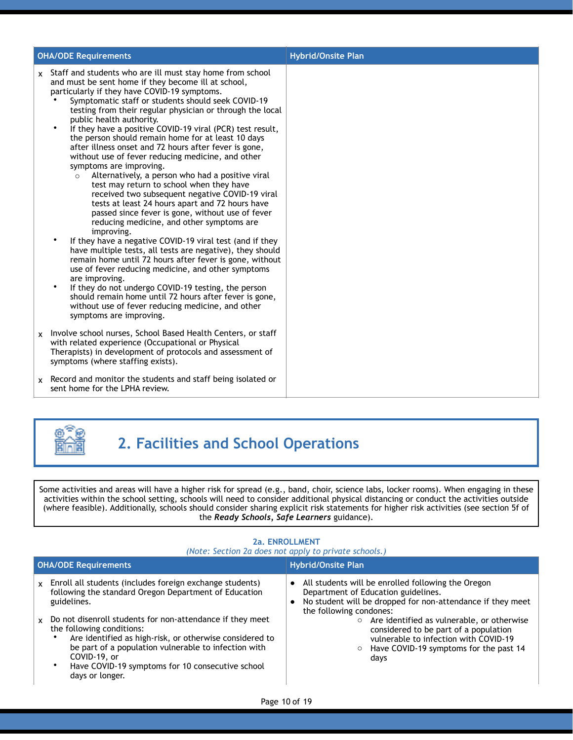| <b>OHA/ODE Requirements</b> |                                                                                                                                                                                                                                                                                                                                                                                                                                                                                                                                                                                                                                                                                                                                                                                                                                                                                                                                                                                                                                                                                                                                                                                                                                                                                                                                                                                                                 | <b>Hybrid/Onsite Plan</b> |
|-----------------------------|-----------------------------------------------------------------------------------------------------------------------------------------------------------------------------------------------------------------------------------------------------------------------------------------------------------------------------------------------------------------------------------------------------------------------------------------------------------------------------------------------------------------------------------------------------------------------------------------------------------------------------------------------------------------------------------------------------------------------------------------------------------------------------------------------------------------------------------------------------------------------------------------------------------------------------------------------------------------------------------------------------------------------------------------------------------------------------------------------------------------------------------------------------------------------------------------------------------------------------------------------------------------------------------------------------------------------------------------------------------------------------------------------------------------|---------------------------|
| <b>X</b>                    | Staff and students who are ill must stay home from school<br>and must be sent home if they become ill at school,<br>particularly if they have COVID-19 symptoms.<br>Symptomatic staff or students should seek COVID-19<br>testing from their regular physician or through the local<br>public health authority.<br>$\bullet$<br>If they have a positive COVID-19 viral (PCR) test result,<br>the person should remain home for at least 10 days<br>after illness onset and 72 hours after fever is gone,<br>without use of fever reducing medicine, and other<br>symptoms are improving.<br>Alternatively, a person who had a positive viral<br>$\circ$<br>test may return to school when they have<br>received two subsequent negative COVID-19 viral<br>tests at least 24 hours apart and 72 hours have<br>passed since fever is gone, without use of fever<br>reducing medicine, and other symptoms are<br>improving.<br>$\bullet$<br>If they have a negative COVID-19 viral test (and if they<br>have multiple tests, all tests are negative), they should<br>remain home until 72 hours after fever is gone, without<br>use of fever reducing medicine, and other symptoms<br>are improving.<br>If they do not undergo COVID-19 testing, the person<br>$\bullet$<br>should remain home until 72 hours after fever is gone,<br>without use of fever reducing medicine, and other<br>symptoms are improving. |                           |
| x                           | Involve school nurses, School Based Health Centers, or staff<br>with related experience (Occupational or Physical<br>Therapists) in development of protocols and assessment of<br>symptoms (where staffing exists).                                                                                                                                                                                                                                                                                                                                                                                                                                                                                                                                                                                                                                                                                                                                                                                                                                                                                                                                                                                                                                                                                                                                                                                             |                           |
|                             | $x$ Record and monitor the students and staff being isolated or<br>sent home for the LPHA review.                                                                                                                                                                                                                                                                                                                                                                                                                                                                                                                                                                                                                                                                                                                                                                                                                                                                                                                                                                                                                                                                                                                                                                                                                                                                                                               |                           |



# **2. Facilities and School Operations**

Some activities and areas will have a higher risk for spread (e.g., band, choir, science labs, locker rooms). When engaging in these activities within the school setting, schools will need to consider additional physical distancing or conduct the activities outside (where feasible). Additionally, schools should consider sharing explicit risk statements for higher risk activities (see section 5f of the *Ready Schools, Safe Learners* guidance).

#### **2a. ENROLLMENT**  *(Note: Section 2a does not apply to private schools.)*  **OHA/ODE Requirements Hyprid/Onsite Plan** x Enroll all students (includes foreign exchange students) following the standard Oregon Department of Education guidelines. • All students will be enrolled following the Oregon Department of Education guidelines. • No student will be dropped for non-attendance if they meet the following condones: o Are identified as vulnerable, or otherwise considered to be part of a population vulnerable to infection with COVID-19 o Have COVID-19 symptoms for the past 14 days x Do not disenroll students for non-attendance if they meet the following conditions: Are identified as high-risk, or otherwise considered to be part of a population vulnerable to infection with COVID-19, or Have COVID-19 symptoms for 10 consecutive school days or longer.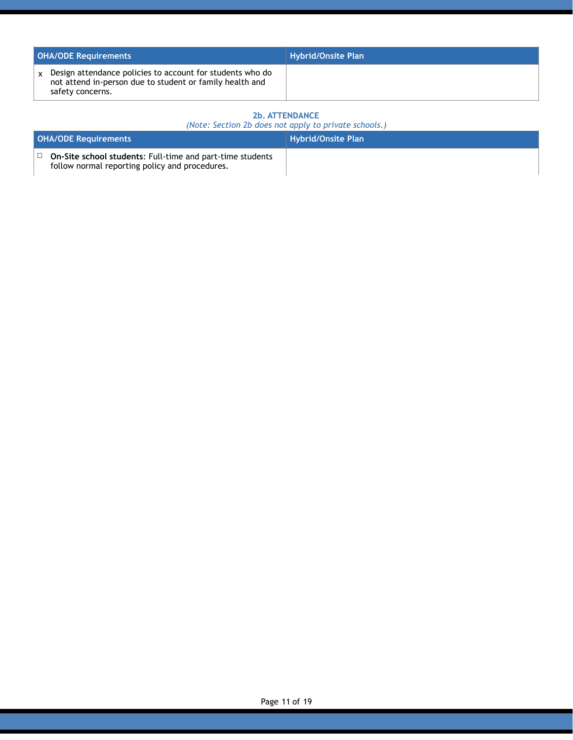| <b>OHA/ODE Requirements</b> |                                                                                                                                           | <b>Hybrid/Onsite Plan</b> |
|-----------------------------|-------------------------------------------------------------------------------------------------------------------------------------------|---------------------------|
|                             | Design attendance policies to account for students who do<br>not attend in-person due to student or family health and<br>safety concerns. |                           |

### **2b. ATTENDANCE**

| (Note: Section 2b does not apply to private schools.) |
|-------------------------------------------------------|
|-------------------------------------------------------|

| <b>OHA/ODE Requirements</b>                                                                                 | <b>Hybrid/Onsite Plan</b> |
|-------------------------------------------------------------------------------------------------------------|---------------------------|
| On-Site school students: Full-time and part-time students<br>follow normal reporting policy and procedures. |                           |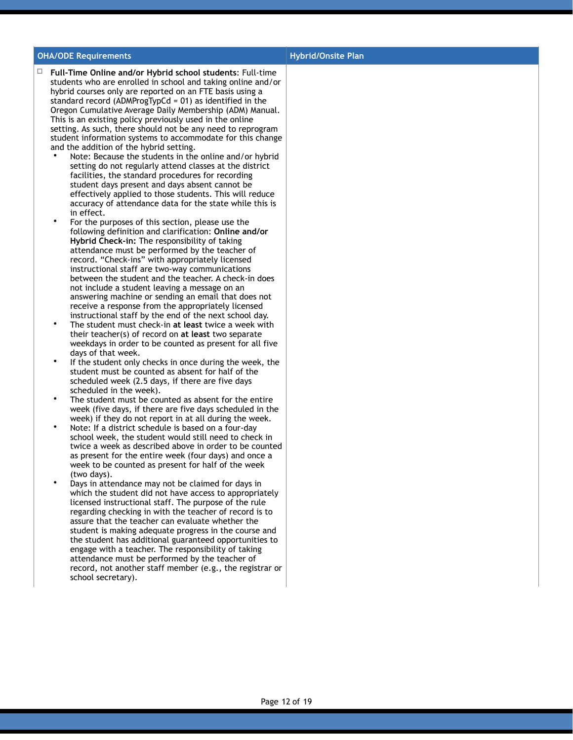#### **OHA/ODE Requirements Hyperical Executive Plan**

- ☐ **Full-Time Online and/or Hybrid school students**: Full-time students who are enrolled in school and taking online and/or hybrid courses only are reported on an FTE basis using a standard record (ADMProgTypCd =  $01$ ) as identified in the Oregon Cumulative Average Daily Membership (ADM) Manual. This is an existing policy previously used in the online setting. As such, there should not be any need to reprogram student information systems to accommodate for this change and the addition of the hybrid setting.
	- Note: Because the students in the online and/or hybrid setting do not regularly attend classes at the district facilities, the standard procedures for recording student days present and days absent cannot be effectively applied to those students. This will reduce accuracy of attendance data for the state while this is in effect.
	- For the purposes of this section, please use the following definition and clarification: **Online and/or Hybrid Check-in:** The responsibility of taking attendance must be performed by the teacher of record. "Check-ins" with appropriately licensed instructional staff are two-way communications between the student and the teacher. A check-in does not include a student leaving a message on an answering machine or sending an email that does not receive a response from the appropriately licensed instructional staff by the end of the next school day.
	- The student must check-in **at least** twice a week with their teacher(s) of record on **at least** two separate weekdays in order to be counted as present for all five days of that week.
	- If the student only checks in once during the week, the student must be counted as absent for half of the scheduled week (2.5 days, if there are five days scheduled in the week).
	- The student must be counted as absent for the entire week (five days, if there are five days scheduled in the week) if they do not report in at all during the week.
	- Note: If a district schedule is based on a four-day school week, the student would still need to check in twice a week as described above in order to be counted as present for the entire week (four days) and once a week to be counted as present for half of the week (two days).
	- Days in attendance may not be claimed for days in which the student did not have access to appropriately licensed instructional staff. The purpose of the rule regarding checking in with the teacher of record is to assure that the teacher can evaluate whether the student is making adequate progress in the course and the student has additional guaranteed opportunities to engage with a teacher. The responsibility of taking attendance must be performed by the teacher of record, not another staff member (e.g., the registrar or school secretary).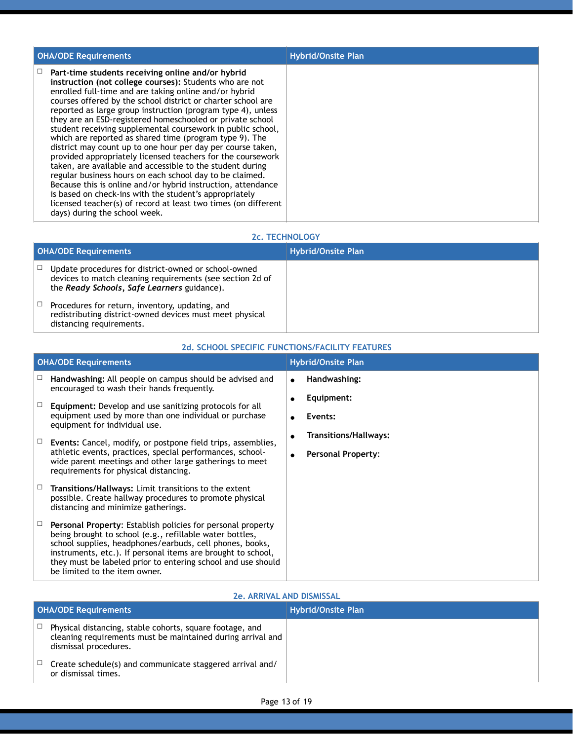| <b>OHA/ODE Requirements</b>                                                                                                                                                                                                                                                                                                                                                                                                                                                                                                                                                                                                                                                                                                                                                                                                                                                                                                                                                       | <b>Hybrid/Onsite Plan</b> |
|-----------------------------------------------------------------------------------------------------------------------------------------------------------------------------------------------------------------------------------------------------------------------------------------------------------------------------------------------------------------------------------------------------------------------------------------------------------------------------------------------------------------------------------------------------------------------------------------------------------------------------------------------------------------------------------------------------------------------------------------------------------------------------------------------------------------------------------------------------------------------------------------------------------------------------------------------------------------------------------|---------------------------|
| Part-time students receiving online and/or hybrid<br>instruction (not college courses): Students who are not<br>enrolled full-time and are taking online and/or hybrid<br>courses offered by the school district or charter school are<br>reported as large group instruction (program type 4), unless<br>they are an ESD-registered homeschooled or private school<br>student receiving supplemental coursework in public school,<br>which are reported as shared time (program type 9). The<br>district may count up to one hour per day per course taken,<br>provided appropriately licensed teachers for the coursework<br>taken, are available and accessible to the student during<br>regular business hours on each school day to be claimed.<br>Because this is online and/or hybrid instruction, attendance<br>is based on check-ins with the student's appropriately<br>licensed teacher(s) of record at least two times (on different<br>days) during the school week. |                           |

#### **2c. TECHNOLOGY**

| <b>OHA/ODE Requirements</b> |                                                                                                                                                                  | <b>Hybrid/Onsite Plan</b> |
|-----------------------------|------------------------------------------------------------------------------------------------------------------------------------------------------------------|---------------------------|
|                             | Update procedures for district-owned or school-owned<br>devices to match cleaning requirements (see section 2d of<br>the Ready Schools, Safe Learners guidance). |                           |
|                             | Procedures for return, inventory, updating, and<br>redistributing district-owned devices must meet physical<br>distancing requirements.                          |                           |

**2d. SCHOOL SPECIFIC FUNCTIONS/FACILITY FEATURES**

#### **OHA/ODE Requirements CONSIDERED AT A REPORT OF A REPORT OF A REPORT OF A REPORT OF A REPORT OF A REPORT OF A REPORT OF A REPORT OF A REPORT OF A REPORT OF A REPORT OF A REPORT OF A REPORT OF A REPORT OF A REPORT OF A RE** ☐ **Handwashing:** All people on campus should be advised and encouraged to wash their hands frequently. ! **Handwashing:** ! **Equipment:** ! **Events:** ! **Transitions/Hallways:** ! **Personal Property**: ☐ **Equipment:** Develop and use sanitizing protocols for all equipment used by more than one individual or purchase equipment for individual use. ☐ **Events:** Cancel, modify, or postpone field trips, assemblies, athletic events, practices, special performances, schoolwide parent meetings and other large gatherings to meet requirements for physical distancing. ☐ **Transitions/Hallways:** Limit transitions to the extent possible. Create hallway procedures to promote physical distancing and minimize gatherings. ☐ **Personal Property**: Establish policies for personal property being brought to school (e.g., refillable water bottles, school supplies, headphones/earbuds, cell phones, books, instruments, etc.). If personal items are brought to school, they must be labeled prior to entering school and use should be limited to the item owner.

#### **2e. ARRIVAL AND DISMISSAL**

| <b>OHA/ODE Requirements</b> |                                                                                                                                                  | <b>Hybrid/Onsite Plan</b> |
|-----------------------------|--------------------------------------------------------------------------------------------------------------------------------------------------|---------------------------|
|                             | Physical distancing, stable cohorts, square footage, and<br>cleaning requirements must be maintained during arrival and<br>dismissal procedures. |                           |
|                             | Create schedule(s) and communicate staggered arrival and/<br>or dismissal times.                                                                 |                           |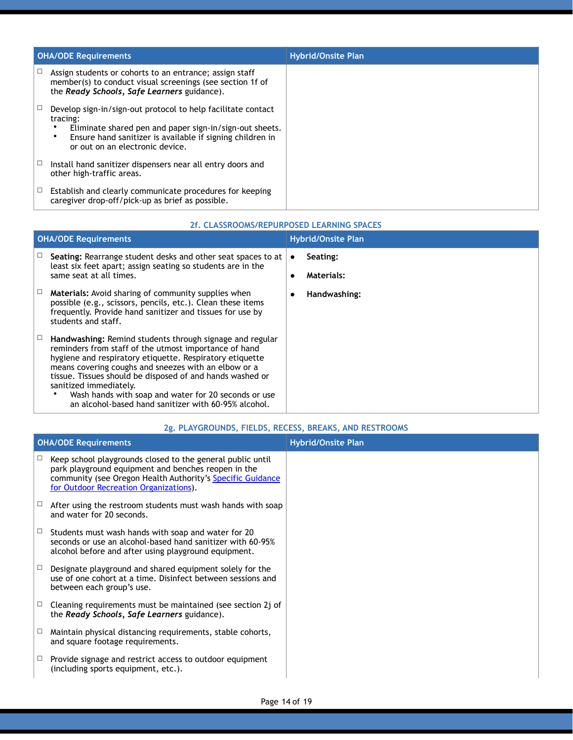| <b>OHA/ODE Requirements</b>                                                                                                                                                                                                         | <b>Hybrid/Onsite Plan</b> |
|-------------------------------------------------------------------------------------------------------------------------------------------------------------------------------------------------------------------------------------|---------------------------|
| Assign students or cohorts to an entrance; assign staff<br>member(s) to conduct visual screenings (see section 1f of<br>the Ready Schools, Safe Learners guidance).                                                                 |                           |
| Develop sign-in/sign-out protocol to help facilitate contact<br>tracing:<br>Eliminate shared pen and paper sign-in/sign-out sheets.<br>Ensure hand sanitizer is available if signing children in<br>or out on an electronic device. |                           |
| Install hand sanitizer dispensers near all entry doors and<br>other high-traffic areas.                                                                                                                                             |                           |
| Establish and clearly communicate procedures for keeping<br>caregiver drop-off/pick-up as brief as possible.                                                                                                                        |                           |

#### **2f. CLASSROOMS/REPURPOSED LEARNING SPACES**

| <b>OHA/ODE Requirements</b>                                                                                                                                                                                                                                                                                                                                                                                                                  |           | <b>Hybrid/Onsite Plan</b>     |  |
|----------------------------------------------------------------------------------------------------------------------------------------------------------------------------------------------------------------------------------------------------------------------------------------------------------------------------------------------------------------------------------------------------------------------------------------------|-----------|-------------------------------|--|
| Seating: Rearrange student desks and other seat spaces to at<br>least six feet apart; assign seating so students are in the<br>same seat at all times.                                                                                                                                                                                                                                                                                       | $\bullet$ | Seating:<br><b>Materials:</b> |  |
| <b>Materials:</b> Avoid sharing of community supplies when<br>possible (e.g., scissors, pencils, etc.). Clean these items<br>frequently. Provide hand sanitizer and tissues for use by<br>students and staff.                                                                                                                                                                                                                                |           | Handwashing:                  |  |
| Handwashing: Remind students through signage and regular<br>reminders from staff of the utmost importance of hand<br>hygiene and respiratory etiquette. Respiratory etiquette<br>means covering coughs and sneezes with an elbow or a<br>tissue. Tissues should be disposed of and hands washed or<br>sanitized immediately.<br>Wash hands with soap and water for 20 seconds or use<br>an alcohol-based hand sanitizer with 60-95% alcohol. |           |                               |  |

#### **2g. PLAYGROUNDS, FIELDS, RECESS, BREAKS, AND RESTROOMS**

| <b>OHA/ODE Requirements</b> |                                                                                                                                                                                                                           | <b>Hybrid/Onsite Plan</b> |
|-----------------------------|---------------------------------------------------------------------------------------------------------------------------------------------------------------------------------------------------------------------------|---------------------------|
| $\Box$                      | Keep school playgrounds closed to the general public until<br>park playground equipment and benches reopen in the<br>community (see Oregon Health Authority's Specific Guidance<br>for Outdoor Recreation Organizations). |                           |
| $\Box$                      | After using the restroom students must wash hands with soap<br>and water for 20 seconds.                                                                                                                                  |                           |
| $\Box$                      | Students must wash hands with soap and water for 20<br>seconds or use an alcohol-based hand sanitizer with 60-95%<br>alcohol before and after using playground equipment.                                                 |                           |
| ⊔                           | Designate playground and shared equipment solely for the<br>use of one cohort at a time. Disinfect between sessions and<br>between each group's use.                                                                      |                           |
| $\Box$                      | Cleaning requirements must be maintained (see section 2j of<br>the Ready Schools, Safe Learners guidance).                                                                                                                |                           |
| □                           | Maintain physical distancing requirements, stable cohorts,<br>and square footage requirements.                                                                                                                            |                           |
|                             | Provide signage and restrict access to outdoor equipment<br>(including sports equipment, etc.).                                                                                                                           |                           |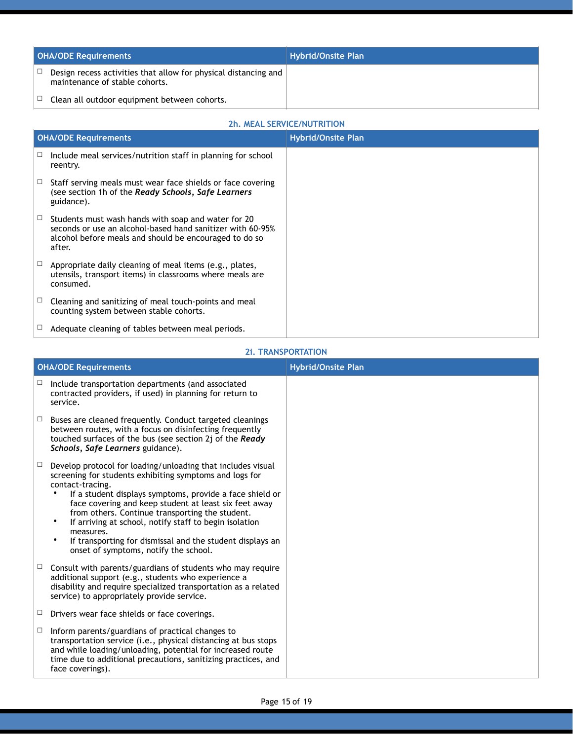| <b>OHA/ODE Requirements</b>                                                                       | <b>Hybrid/Onsite Plan</b> |
|---------------------------------------------------------------------------------------------------|---------------------------|
| Design recess activities that allow for physical distancing and<br>maintenance of stable cohorts. |                           |
| Clean all outdoor equipment between cohorts.                                                      |                           |

## **2h. MEAL SERVICE/NUTRITION**

|   | <b>OHA/ODE Requirements</b>                                                                                                                                                           | <b>Hybrid/Onsite Plan</b> |
|---|---------------------------------------------------------------------------------------------------------------------------------------------------------------------------------------|---------------------------|
| ⊔ | Include meal services/nutrition staff in planning for school<br>reentry.                                                                                                              |                           |
|   | Staff serving meals must wear face shields or face covering<br>(see section 1h of the Ready Schools, Safe Learners<br>guidance).                                                      |                           |
| □ | Students must wash hands with soap and water for 20<br>seconds or use an alcohol-based hand sanitizer with 60-95%<br>alcohol before meals and should be encouraged to do so<br>after. |                           |
|   | Appropriate daily cleaning of meal items (e.g., plates,<br>utensils, transport items) in classrooms where meals are<br>consumed.                                                      |                           |
|   | Cleaning and sanitizing of meal touch-points and meal<br>counting system between stable cohorts.                                                                                      |                           |
|   | Adequate cleaning of tables between meal periods.                                                                                                                                     |                           |

#### **2i. TRANSPORTATION**

|        | <b>OHA/ODE Requirements</b>                                                                                                                                                                                                                                                                                                                                                                                                                                                                                               | <b>Hybrid/Onsite Plan</b> |
|--------|---------------------------------------------------------------------------------------------------------------------------------------------------------------------------------------------------------------------------------------------------------------------------------------------------------------------------------------------------------------------------------------------------------------------------------------------------------------------------------------------------------------------------|---------------------------|
| □      | Include transportation departments (and associated<br>contracted providers, if used) in planning for return to<br>service.                                                                                                                                                                                                                                                                                                                                                                                                |                           |
| $\Box$ | Buses are cleaned frequently. Conduct targeted cleanings<br>between routes, with a focus on disinfecting frequently<br>touched surfaces of the bus (see section 2j of the Ready<br>Schools, Safe Learners guidance).                                                                                                                                                                                                                                                                                                      |                           |
| $\Box$ | Develop protocol for loading/unloading that includes visual<br>screening for students exhibiting symptoms and logs for<br>contact-tracing.<br>If a student displays symptoms, provide a face shield or<br>face covering and keep student at least six feet away<br>from others. Continue transporting the student.<br>$\bullet$<br>If arriving at school, notify staff to begin isolation<br>measures.<br>$\bullet$<br>If transporting for dismissal and the student displays an<br>onset of symptoms, notify the school. |                           |
| $\Box$ | Consult with parents/guardians of students who may require<br>additional support (e.g., students who experience a<br>disability and require specialized transportation as a related<br>service) to appropriately provide service.                                                                                                                                                                                                                                                                                         |                           |
| $\Box$ | Drivers wear face shields or face coverings.                                                                                                                                                                                                                                                                                                                                                                                                                                                                              |                           |
| $\Box$ | Inform parents/guardians of practical changes to<br>transportation service (i.e., physical distancing at bus stops<br>and while loading/unloading, potential for increased route<br>time due to additional precautions, sanitizing practices, and<br>face coverings).                                                                                                                                                                                                                                                     |                           |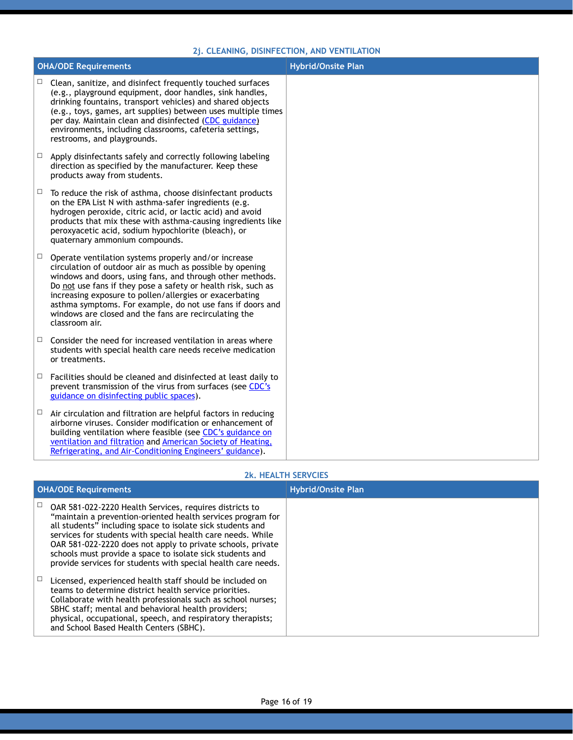#### **2j. CLEANING, DISINFECTION, AND VENTILATION**

|        | <b>OHA/ODE Requirements</b>                                                                                                                                                                                                                                                                                                                                                                                                                         | <b>Hybrid/Onsite Plan</b> |
|--------|-----------------------------------------------------------------------------------------------------------------------------------------------------------------------------------------------------------------------------------------------------------------------------------------------------------------------------------------------------------------------------------------------------------------------------------------------------|---------------------------|
| $\Box$ | Clean, sanitize, and disinfect frequently touched surfaces<br>(e.g., playground equipment, door handles, sink handles,<br>drinking fountains, transport vehicles) and shared objects<br>(e.g., toys, games, art supplies) between uses multiple times<br>per day. Maintain clean and disinfected (CDC guidance)<br>environments, including classrooms, cafeteria settings,<br>restrooms, and playgrounds.                                           |                           |
| $\Box$ | Apply disinfectants safely and correctly following labeling<br>direction as specified by the manufacturer. Keep these<br>products away from students.                                                                                                                                                                                                                                                                                               |                           |
| $\Box$ | To reduce the risk of asthma, choose disinfectant products<br>on the EPA List N with asthma-safer ingredients (e.g.<br>hydrogen peroxide, citric acid, or lactic acid) and avoid<br>products that mix these with asthma-causing ingredients like<br>peroxyacetic acid, sodium hypochlorite (bleach), or<br>quaternary ammonium compounds.                                                                                                           |                           |
| $\Box$ | Operate ventilation systems properly and/or increase<br>circulation of outdoor air as much as possible by opening<br>windows and doors, using fans, and through other methods.<br>Do not use fans if they pose a safety or health risk, such as<br>increasing exposure to pollen/allergies or exacerbating<br>asthma symptoms. For example, do not use fans if doors and<br>windows are closed and the fans are recirculating the<br>classroom air. |                           |
| $\Box$ | Consider the need for increased ventilation in areas where<br>students with special health care needs receive medication<br>or treatments.                                                                                                                                                                                                                                                                                                          |                           |
| $\Box$ | Facilities should be cleaned and disinfected at least daily to<br>prevent transmission of the virus from surfaces (see CDC's<br>guidance on disinfecting public spaces).                                                                                                                                                                                                                                                                            |                           |
| □      | Air circulation and filtration are helpful factors in reducing<br>airborne viruses. Consider modification or enhancement of<br>building ventilation where feasible (see CDC's guidance on<br>ventilation and filtration and American Society of Heating,<br>Refrigerating, and Air-Conditioning Engineers' guidance).                                                                                                                               |                           |

#### **2k. HEALTH SERVCIES**

| <b>OHA/ODE Requirements</b> |                                                                                                                                                                                                                                                                                                                                                                                                                                                  | <b>Hybrid/Onsite Plan</b> |
|-----------------------------|--------------------------------------------------------------------------------------------------------------------------------------------------------------------------------------------------------------------------------------------------------------------------------------------------------------------------------------------------------------------------------------------------------------------------------------------------|---------------------------|
|                             | OAR 581-022-2220 Health Services, requires districts to<br>"maintain a prevention-oriented health services program for<br>all students" including space to isolate sick students and<br>services for students with special health care needs. While<br>OAR 581-022-2220 does not apply to private schools, private<br>schools must provide a space to isolate sick students and<br>provide services for students with special health care needs. |                           |
|                             | Licensed, experienced health staff should be included on<br>teams to determine district health service priorities.<br>Collaborate with health professionals such as school nurses;<br>SBHC staff; mental and behavioral health providers;<br>physical, occupational, speech, and respiratory therapists;<br>and School Based Health Centers (SBHC).                                                                                              |                           |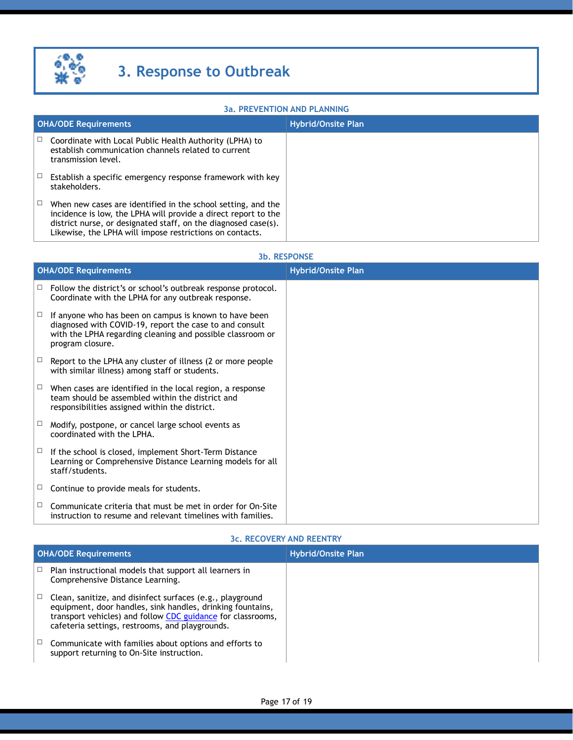

#### **3a. PREVENTION AND PLANNING**

|   | <b>OHA/ODE Requirements</b>                                                                                                                                                                                                                                  | <b>Hybrid/Onsite Plan</b> |
|---|--------------------------------------------------------------------------------------------------------------------------------------------------------------------------------------------------------------------------------------------------------------|---------------------------|
| Ц | Coordinate with Local Public Health Authority (LPHA) to<br>establish communication channels related to current<br>transmission level.                                                                                                                        |                           |
|   | Establish a specific emergency response framework with key<br>stakeholders.                                                                                                                                                                                  |                           |
|   | When new cases are identified in the school setting, and the<br>incidence is low, the LPHA will provide a direct report to the<br>district nurse, or designated staff, on the diagnosed case(s).<br>Likewise, the LPHA will impose restrictions on contacts. |                           |

#### **3b. RESPONSE**

|        | <b>OHA/ODE Requirements</b>                                                                                                                                                                         | <b>Hybrid/Onsite Plan</b> |
|--------|-----------------------------------------------------------------------------------------------------------------------------------------------------------------------------------------------------|---------------------------|
| $\Box$ | Follow the district's or school's outbreak response protocol.<br>Coordinate with the LPHA for any outbreak response.                                                                                |                           |
| $\Box$ | If anyone who has been on campus is known to have been<br>diagnosed with COVID-19, report the case to and consult<br>with the LPHA regarding cleaning and possible classroom or<br>program closure. |                           |
| $\Box$ | Report to the LPHA any cluster of illness (2 or more people<br>with similar illness) among staff or students.                                                                                       |                           |
| $\Box$ | When cases are identified in the local region, a response<br>team should be assembled within the district and<br>responsibilities assigned within the district.                                     |                           |
| $\Box$ | Modify, postpone, or cancel large school events as<br>coordinated with the LPHA.                                                                                                                    |                           |
| Ц      | If the school is closed, implement Short-Term Distance<br>Learning or Comprehensive Distance Learning models for all<br>staff/students.                                                             |                           |
| $\Box$ | Continue to provide meals for students.                                                                                                                                                             |                           |
| $\Box$ | Communicate criteria that must be met in order for On-Site<br>instruction to resume and relevant timelines with families.                                                                           |                           |

#### **3c. RECOVERY AND REENTRY**

| <b>OHA/ODE Requirements</b> |                                                                                                                                                                                                                                           | <b>Hybrid/Onsite Plan</b> |
|-----------------------------|-------------------------------------------------------------------------------------------------------------------------------------------------------------------------------------------------------------------------------------------|---------------------------|
|                             | Plan instructional models that support all learners in<br>Comprehensive Distance Learning.                                                                                                                                                |                           |
|                             | Clean, sanitize, and disinfect surfaces (e.g., playground<br>equipment, door handles, sink handles, drinking fountains,<br>transport vehicles) and follow CDC guidance for classrooms,<br>cafeteria settings, restrooms, and playgrounds. |                           |
|                             | Communicate with families about options and efforts to<br>support returning to On-Site instruction.                                                                                                                                       |                           |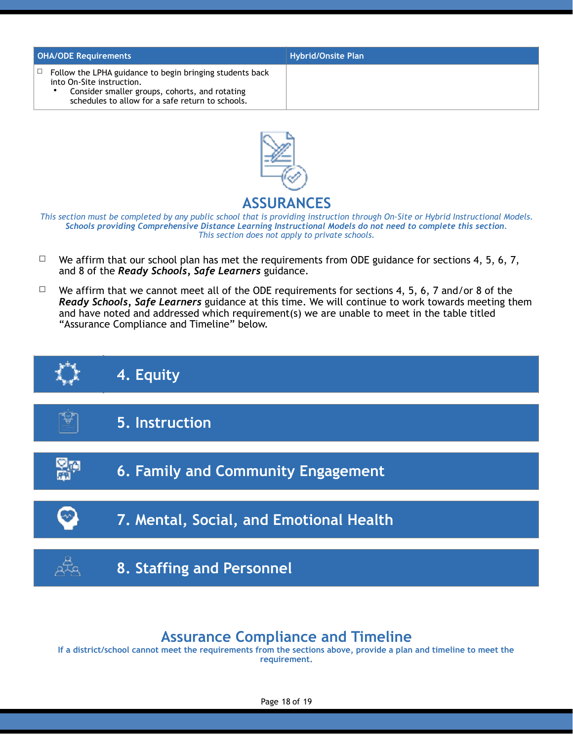| <b>OHA/ODE Requirements</b>                                                                                                                                                                      | <b>Hybrid/Onsite Plan</b> |
|--------------------------------------------------------------------------------------------------------------------------------------------------------------------------------------------------|---------------------------|
| Follow the LPHA guidance to begin bringing students back<br>□<br>into On-Site instruction.<br>Consider smaller groups, cohorts, and rotating<br>schedules to allow for a safe return to schools. |                           |



## **ASSURANCES**

*This section must be completed by any public school that is providing instruction through On-Site or Hybrid Instructional Models. Schools providing Comprehensive Distance Learning Instructional Models do not need to complete this section. This section does not apply to private schools.* 

- $\Box$  We affirm that our school plan has met the requirements from ODE guidance for sections 4, 5, 6, 7, and 8 of the *Ready Schools, Safe Learners* guidance.
- $\Box$  We affirm that we cannot meet all of the ODE requirements for sections 4, 5, 6, 7 and/or 8 of the *Ready Schools, Safe Learners* guidance at this time. We will continue to work towards meeting them and have noted and addressed which requirement(s) we are unable to meet in the table titled "Assurance Compliance and Timeline" below.



## **Assurance Compliance and Timeline**

**If a district/school cannot meet the requirements from the sections above, provide a plan and timeline to meet the requirement.**